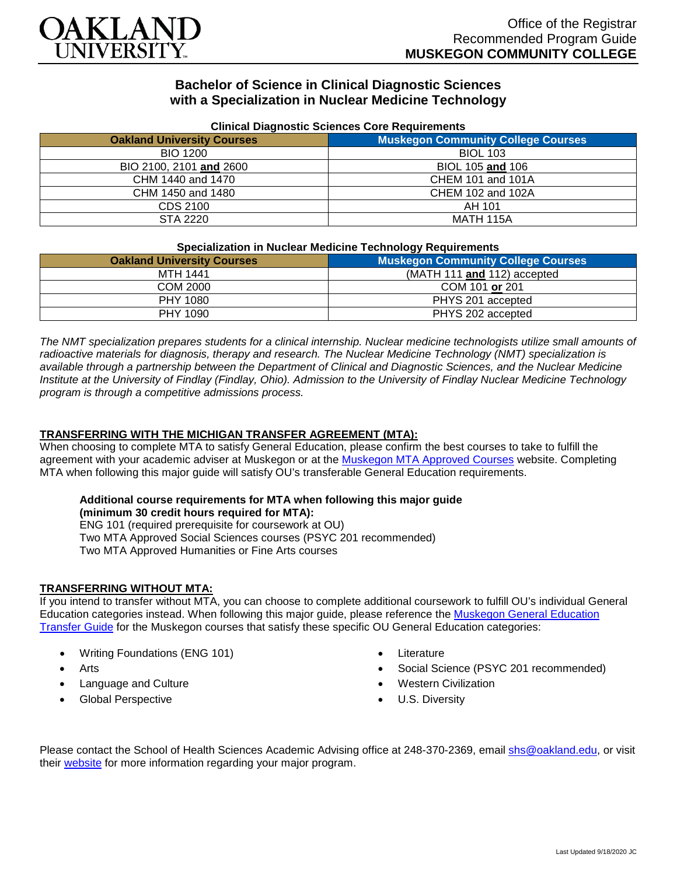

# **Bachelor of Science in Clinical Diagnostic Sciences with a Specialization in Nuclear Medicine Technology**

| Clinical Diagnostic Sciences Core Requirements |  |
|------------------------------------------------|--|
| <b>Muskegon Community College Courses</b>      |  |
| <b>BIOL 103</b>                                |  |
| BIOL 105 and 106                               |  |
| <b>CHEM 101 and 101A</b>                       |  |
| CHEM 102 and 102A                              |  |
| AH 101                                         |  |
| MATH 115A                                      |  |
|                                                |  |

#### **Clinical Diagnostic Sciences Core Requirements**

#### **Specialization in Nuclear Medicine Technology Requirements**

| <u>abaammanan ni maalaal maalania taaliitataa haamanan amama</u> |                                           |
|------------------------------------------------------------------|-------------------------------------------|
| <b>Oakland University Courses</b>                                | <b>Muskegon Community College Courses</b> |
| <b>MTH 1441</b>                                                  | (MATH 111 and 112) accepted               |
| COM 2000                                                         | COM 101 or 201                            |
| PHY 1080                                                         | PHYS 201 accepted                         |
| <b>PHY 1090</b>                                                  | PHYS 202 accepted                         |

*The NMT specialization prepares students for a clinical internship. Nuclear medicine technologists utilize small amounts of radioactive materials for diagnosis, therapy and research. The Nuclear Medicine Technology (NMT) specialization is available through a partnership between the Department of Clinical and Diagnostic Sciences, and the Nuclear Medicine Institute at the University of Findlay (Findlay, Ohio). Admission to the University of Findlay Nuclear Medicine Technology program is through a competitive admissions process.*

## **TRANSFERRING WITH THE MICHIGAN TRANSFER AGREEMENT (MTA):**

When choosing to complete MTA to satisfy General Education, please confirm the best courses to take to fulfill the agreement with your academic adviser at Muskegon or at the [Muskegon MTA Approved Courses](https://www.muskegoncc.edu/transferservices/michigan-transfer-agreement/) website. Completing MTA when following this major guide will satisfy OU's transferable General Education requirements.

#### **Additional course requirements for MTA when following this major guide (minimum 30 credit hours required for MTA):**

ENG 101 (required prerequisite for coursework at OU) Two MTA Approved Social Sciences courses (PSYC 201 recommended) Two MTA Approved Humanities or Fine Arts courses

## **TRANSFERRING WITHOUT MTA:**

If you intend to transfer without MTA, you can choose to complete additional coursework to fulfill OU's individual General Education categories instead. When following this major guide, please reference the [Muskegon General Education](https://www.oakland.edu/Assets/Oakland/program-guides/muskegon-community-college/university-general-education-requirements/Muskegon%20Gen%20Ed.pdf)  [Transfer Guide](https://www.oakland.edu/Assets/Oakland/program-guides/muskegon-community-college/university-general-education-requirements/Muskegon%20Gen%20Ed.pdf) for the Muskegon courses that satisfy these specific OU General Education categories:

- Writing Foundations (ENG 101)
- **Arts**
- Language and Culture
- Global Perspective
- **Literature**
- Social Science (PSYC 201 recommended)
- Western Civilization
- U.S. Diversity

Please contact the School of Health Sciences Academic Advising office at 248-370-2369, email [shs@oakland.edu,](mailto:shs@oakland.edu) or visit their [website](http://www.oakland.edu/shs/advising) for more information regarding your major program.